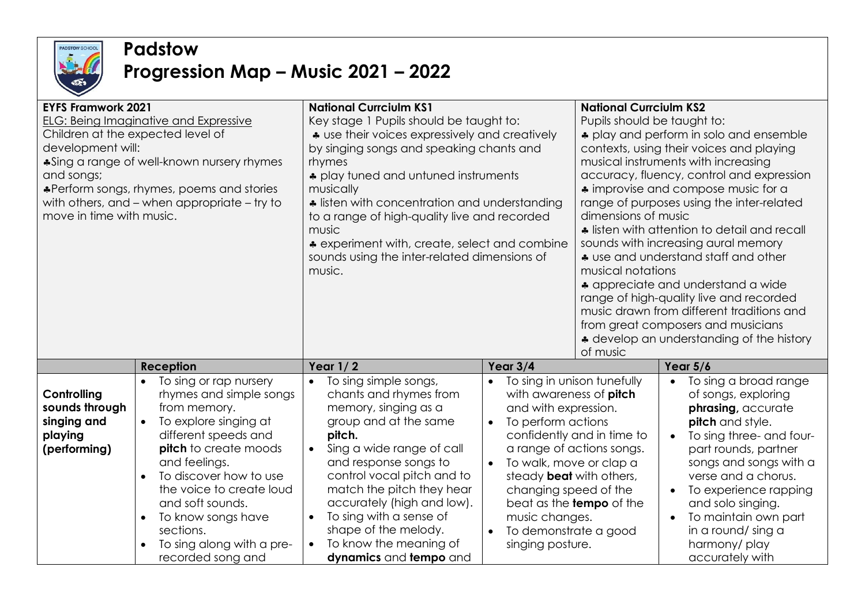

## **Padstow**

## **Progression Map – Music 2021 – 2022**

| <b>EYFS Framwork 2021</b><br><b>ELG: Being Imaginative and Expressive</b><br>Children at the expected level of<br>development will:<br>*Sing a range of well-known nursery rhymes<br>and songs;<br>*Perform songs, rhymes, poems and stories<br>with others, and – when appropriate – try to<br>move in time with music. |                                                                                                                                                                                                                                          | <b>National Currciulm KS1</b><br>Key stage 1 Pupils should be taught to:<br>* use their voices expressively and creatively<br>by singing songs and speaking chants and<br>rhymes<br>* play tuned and untuned instruments<br>musically<br>• listen with concentration and understanding<br>to a range of high-quality live and recorded<br>music<br>* experiment with, create, select and combine<br>sounds using the inter-related dimensions of<br>music. |                                                                                                                                                                                                                                                 | <b>National Currciulm KS2</b><br>Pupils should be taught to:<br>* play and perform in solo and ensemble<br>contexts, using their voices and playing<br>musical instruments with increasing<br>accuracy, fluency, control and expression<br>* improvise and compose music for a<br>range of purposes using the inter-related<br>dimensions of music<br>• listen with attention to detail and recall<br>sounds with increasing aural memory<br>* use and understand staff and other<br>musical notations<br>• appreciate and understand a wide<br>range of high-quality live and recorded<br>music drawn from different traditions and<br>from great composers and musicians<br>* develop an understanding of the history |                                                                                                                                                                                                                                                                                                                                                           |
|--------------------------------------------------------------------------------------------------------------------------------------------------------------------------------------------------------------------------------------------------------------------------------------------------------------------------|------------------------------------------------------------------------------------------------------------------------------------------------------------------------------------------------------------------------------------------|------------------------------------------------------------------------------------------------------------------------------------------------------------------------------------------------------------------------------------------------------------------------------------------------------------------------------------------------------------------------------------------------------------------------------------------------------------|-------------------------------------------------------------------------------------------------------------------------------------------------------------------------------------------------------------------------------------------------|-------------------------------------------------------------------------------------------------------------------------------------------------------------------------------------------------------------------------------------------------------------------------------------------------------------------------------------------------------------------------------------------------------------------------------------------------------------------------------------------------------------------------------------------------------------------------------------------------------------------------------------------------------------------------------------------------------------------------|-----------------------------------------------------------------------------------------------------------------------------------------------------------------------------------------------------------------------------------------------------------------------------------------------------------------------------------------------------------|
| Controlling<br>sounds through<br>singing and<br>playing<br>(performing)                                                                                                                                                                                                                                                  | To sing or rap nursery<br>$\bullet$<br>rhymes and simple songs<br>To explore singing at<br>different speeds and<br><b>pitch</b> to create moods<br>$\bullet$<br>To discover how to use<br>the voice to create loud<br>To know songs have | Year $1/2$<br>To sing simple songs,<br>chants and rhymes from<br>memory, singing as a<br>group and at the same<br>pitch.<br>Sing a wide range of call<br>and response songs to<br>control vocal pitch and to<br>match the pitch they hear<br>accurately (high and low).<br>To sing with a sense of<br>shape of the melody.                                                                                                                                 | Year $3/4$<br>with awareness of pitch<br>and with expression.<br>To perform actions<br>$\bullet$<br>To walk, move or clap a<br>$\bullet$<br>steady <b>beat</b> with others,<br>changing speed of the<br>music changes.<br>To demonstrate a good | of music<br>To sing in unison tunefully<br>confidently and in time to<br>a range of actions songs.<br>beat as the <b>tempo</b> of the                                                                                                                                                                                                                                                                                                                                                                                                                                                                                                                                                                                   | Year $5/6$<br>To sing a broad range<br>$\bullet$<br>of songs, exploring<br>phrasing, accurate<br>pitch and style.<br>To sing three- and four-<br>$\bullet$<br>part rounds, partner<br>songs and songs with a<br>verse and a chorus.<br>To experience rapping<br>$\bullet$<br>and solo singing.<br>To maintain own part<br>$\bullet$<br>in a round/ sing a |
|                                                                                                                                                                                                                                                                                                                          | To sing along with a pre-<br>$\bullet$<br>recorded song and                                                                                                                                                                              | To know the meaning of<br>dynamics and tempo and                                                                                                                                                                                                                                                                                                                                                                                                           | singing posture.                                                                                                                                                                                                                                |                                                                                                                                                                                                                                                                                                                                                                                                                                                                                                                                                                                                                                                                                                                         | harmony/play<br>accurately with                                                                                                                                                                                                                                                                                                                           |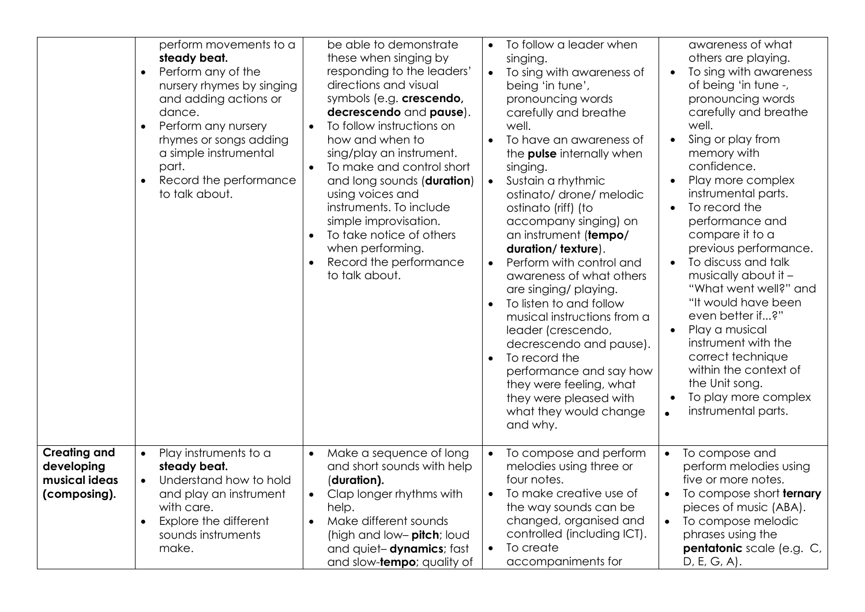|                                                                    | perform movements to a<br>steady beat.<br>Perform any of the<br>$\bullet$<br>nursery rhymes by singing<br>and adding actions or<br>dance.<br>Perform any nursery<br>$\bullet$<br>rhymes or songs adding<br>a simple instrumental<br>part.<br>Record the performance<br>to talk about. | be able to demonstrate<br>these when singing by<br>responding to the leaders'<br>directions and visual<br>symbols (e.g. crescendo,<br>decrescendo and pause).<br>To follow instructions on<br>how and when to<br>sing/play an instrument.<br>To make and control short<br>and long sounds (duration)<br>using voices and<br>instruments. To include<br>simple improvisation.<br>To take notice of others<br>when performing.<br>Record the performance<br>to talk about. | To follow a leader when<br>singing.<br>To sing with awareness of<br>$\bullet$<br>being 'in tune',<br>pronouncing words<br>carefully and breathe<br>well.<br>To have an awareness of<br>the <b>pulse</b> internally when<br>singing.<br>Sustain a rhythmic<br>$\bullet$<br>ostinato/ drone/ melodic<br>ostinato (riff) (to<br>accompany singing) on<br>an instrument (tempo/<br>duration/texture).<br>Perform with control and<br>awareness of what others<br>are singing/ playing.<br>To listen to and follow<br>musical instructions from a<br>leader (crescendo,<br>decrescendo and pause).<br>To record the<br>$\bullet$<br>performance and say how<br>they were feeling, what<br>they were pleased with<br>what they would change<br>and why. | awareness of what<br>others are playing.<br>To sing with awareness<br>$\bullet$<br>of being 'in tune -,<br>pronouncing words<br>carefully and breathe<br>well.<br>Sing or play from<br>$\bullet$<br>memory with<br>confidence.<br>Play more complex<br>$\bullet$<br>instrumental parts.<br>To record the<br>$\bullet$<br>performance and<br>compare it to a<br>previous performance.<br>To discuss and talk<br>$\bullet$<br>musically about it -<br>"What went well?" and<br>"It would have been<br>even better if?"<br>Play a musical<br>$\bullet$<br>instrument with the<br>correct technique<br>within the context of<br>the Unit song.<br>To play more complex<br>$\bullet$<br>instrumental parts. |
|--------------------------------------------------------------------|---------------------------------------------------------------------------------------------------------------------------------------------------------------------------------------------------------------------------------------------------------------------------------------|--------------------------------------------------------------------------------------------------------------------------------------------------------------------------------------------------------------------------------------------------------------------------------------------------------------------------------------------------------------------------------------------------------------------------------------------------------------------------|---------------------------------------------------------------------------------------------------------------------------------------------------------------------------------------------------------------------------------------------------------------------------------------------------------------------------------------------------------------------------------------------------------------------------------------------------------------------------------------------------------------------------------------------------------------------------------------------------------------------------------------------------------------------------------------------------------------------------------------------------|--------------------------------------------------------------------------------------------------------------------------------------------------------------------------------------------------------------------------------------------------------------------------------------------------------------------------------------------------------------------------------------------------------------------------------------------------------------------------------------------------------------------------------------------------------------------------------------------------------------------------------------------------------------------------------------------------------|
| <b>Creating and</b><br>developing<br>musical ideas<br>(composing). | Play instruments to a<br>$\bullet$<br>steady beat.<br>Understand how to hold<br>$\bullet$<br>and play an instrument<br>with care.<br>Explore the different<br>sounds instruments<br>make.                                                                                             | Make a sequence of long<br>$\bullet$<br>and short sounds with help<br>(duration).<br>Clap longer rhythms with<br>$\bullet$<br>help.<br>Make different sounds<br>$\bullet$<br>(high and low- pitch; loud<br>and quiet-dynamics; fast<br>and slow- <b>tempo</b> ; quality of                                                                                                                                                                                               | To compose and perform<br>$\bullet$<br>melodies using three or<br>four notes.<br>To make creative use of<br>$\bullet$<br>the way sounds can be<br>changed, organised and<br>controlled (including ICT).<br>To create<br>$\bullet$<br>accompaniments for                                                                                                                                                                                                                                                                                                                                                                                                                                                                                           | To compose and<br>$\bullet$<br>perform melodies using<br>five or more notes.<br>To compose short ternary<br>$\bullet$<br>pieces of music (ABA).<br>To compose melodic<br>$\bullet$<br>phrases using the<br>pentatonic scale (e.g. C,<br>D, E, G, A).                                                                                                                                                                                                                                                                                                                                                                                                                                                   |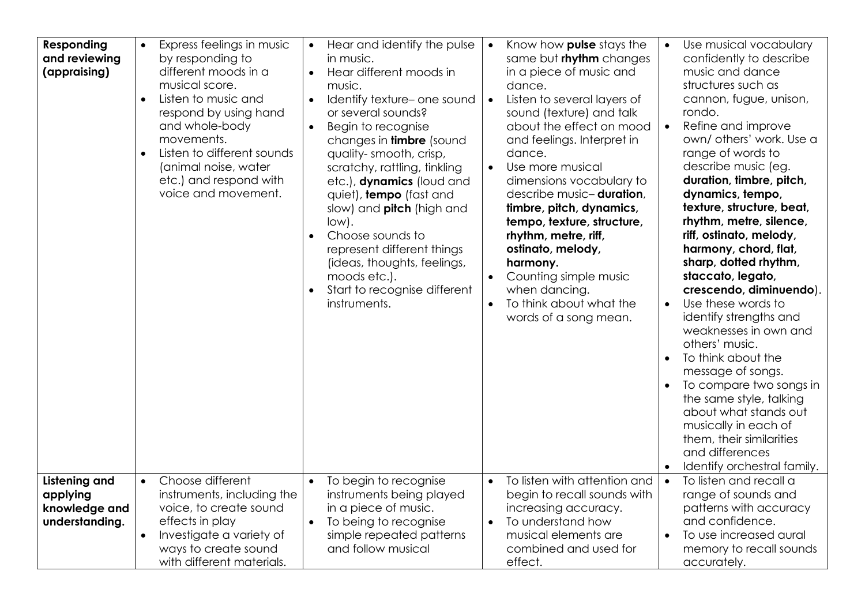| <b>Responding</b><br>and reviewing<br>(appraising)                  | Express feelings in music<br>$\bullet$<br>by responding to<br>different moods in a<br>musical score.<br>Listen to music and<br>$\bullet$<br>respond by using hand<br>and whole-body<br>movements.<br>Listen to different sounds<br>(animal noise, water<br>etc.) and respond with<br>voice and movement. | Hear and identify the pulse<br>$\bullet$<br>in music.<br>Hear different moods in<br>$\bullet$<br>music.<br>Identify texture- one sound<br>or several sounds?<br>Begin to recognise<br>$\bullet$<br>changes in <b>timbre</b> (sound<br>quality-smooth, crisp,<br>scratchy, rattling, tinkling<br>etc.), dynamics (loud and<br>quiet), tempo (fast and<br>slow) and pitch (high and<br>$low$ .<br>Choose sounds to<br>represent different things<br>(ideas, thoughts, feelings,<br>moods etc.).<br>Start to recognise different<br>instruments. | Know how <b>pulse</b> stays the<br>$\bullet$<br>same but rhythm changes<br>in a piece of music and<br>dance.<br>Listen to several layers of<br>$\bullet$<br>sound (texture) and talk<br>about the effect on mood<br>and feelings. Interpret in<br>dance.<br>Use more musical<br>$\bullet$<br>dimensions vocabulary to<br>describe music-duration,<br>timbre, pitch, dynamics,<br>tempo, texture, structure,<br>rhythm, metre, riff,<br>ostinato, melody,<br>harmony.<br>Counting simple music<br>when dancing.<br>To think about what the<br>$\bullet$<br>words of a song mean. | Use musical vocabulary<br>confidently to describe<br>music and dance<br>structures such as<br>cannon, fugue, unison,<br>rondo.<br>Refine and improve<br>$\bullet$<br>own/ others' work. Use a<br>range of words to<br>describe music (eg.<br>duration, timbre, pitch,<br>dynamics, tempo,<br>texture, structure, beat,<br>rhythm, metre, silence,<br>riff, ostinato, melody,<br>harmony, chord, flat,<br>sharp, dotted rhythm,<br>staccato, legato,<br>crescendo, diminuendo).<br>Use these words to<br>$\bullet$<br>identify strengths and<br>weaknesses in own and<br>others' music.<br>To think about the<br>message of songs.<br>To compare two songs in<br>the same style, talking<br>about what stands out<br>musically in each of<br>them, their similarities<br>and differences<br>Identify orchestral family. |
|---------------------------------------------------------------------|----------------------------------------------------------------------------------------------------------------------------------------------------------------------------------------------------------------------------------------------------------------------------------------------------------|-----------------------------------------------------------------------------------------------------------------------------------------------------------------------------------------------------------------------------------------------------------------------------------------------------------------------------------------------------------------------------------------------------------------------------------------------------------------------------------------------------------------------------------------------|---------------------------------------------------------------------------------------------------------------------------------------------------------------------------------------------------------------------------------------------------------------------------------------------------------------------------------------------------------------------------------------------------------------------------------------------------------------------------------------------------------------------------------------------------------------------------------|------------------------------------------------------------------------------------------------------------------------------------------------------------------------------------------------------------------------------------------------------------------------------------------------------------------------------------------------------------------------------------------------------------------------------------------------------------------------------------------------------------------------------------------------------------------------------------------------------------------------------------------------------------------------------------------------------------------------------------------------------------------------------------------------------------------------|
| <b>Listening and</b><br>applying<br>knowledge and<br>understanding. | Choose different<br>$\bullet$<br>instruments, including the<br>voice, to create sound<br>effects in play<br>Investigate a variety of<br>$\bullet$<br>ways to create sound<br>with different materials.                                                                                                   | To begin to recognise<br>$\bullet$<br>instruments being played<br>in a piece of music.<br>To being to recognise<br>$\bullet$<br>simple repeated patterns<br>and follow musical                                                                                                                                                                                                                                                                                                                                                                | To listen with attention and<br>$\bullet$<br>begin to recall sounds with<br>increasing accuracy.<br>To understand how<br>musical elements are<br>combined and used for<br>effect.                                                                                                                                                                                                                                                                                                                                                                                               | To listen and recall a<br>$\bullet$<br>range of sounds and<br>patterns with accuracy<br>and confidence.<br>To use increased aural<br>memory to recall sounds<br>accurately.                                                                                                                                                                                                                                                                                                                                                                                                                                                                                                                                                                                                                                            |